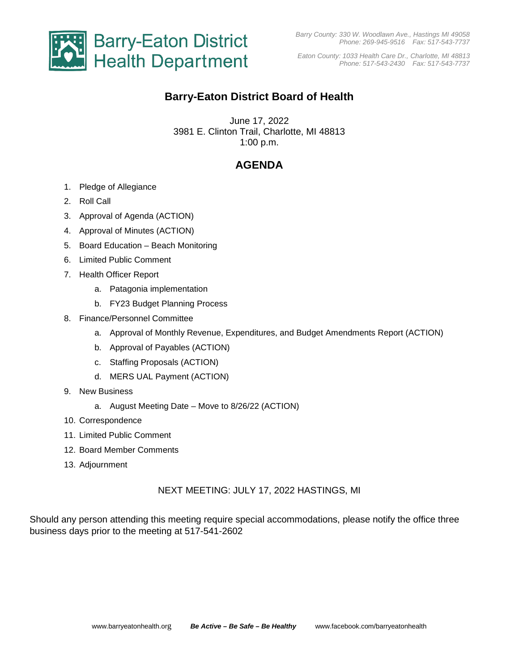

*Eaton County: 1033 Health Care Dr., Charlotte, MI 48813 Phone: 517-543-2430 Fax: 517-543-7737*

# **Barry-Eaton District Board of Health**

June 17, 2022 3981 E. Clinton Trail, Charlotte, MI 48813 1:00 p.m.

## **AGENDA**

- 1. Pledge of Allegiance
- 2. Roll Call
- 3. Approval of Agenda (ACTION)
- 4. Approval of Minutes (ACTION)
- 5. Board Education Beach Monitoring
- 6. Limited Public Comment
- 7. Health Officer Report
	- a. Patagonia implementation
	- b. FY23 Budget Planning Process
- 8. Finance/Personnel Committee
	- a. Approval of Monthly Revenue, Expenditures, and Budget Amendments Report (ACTION)
	- b. Approval of Payables (ACTION)
	- c. Staffing Proposals (ACTION)
	- d. MERS UAL Payment (ACTION)
- 9. New Business
	- a. August Meeting Date Move to 8/26/22 (ACTION)
- 10. Correspondence
- 11. Limited Public Comment
- 12. Board Member Comments
- 13. Adjournment

#### NEXT MEETING: JULY 17, 2022 HASTINGS, MI

Should any person attending this meeting require special accommodations, please notify the office three business days prior to the meeting at 517-541-2602